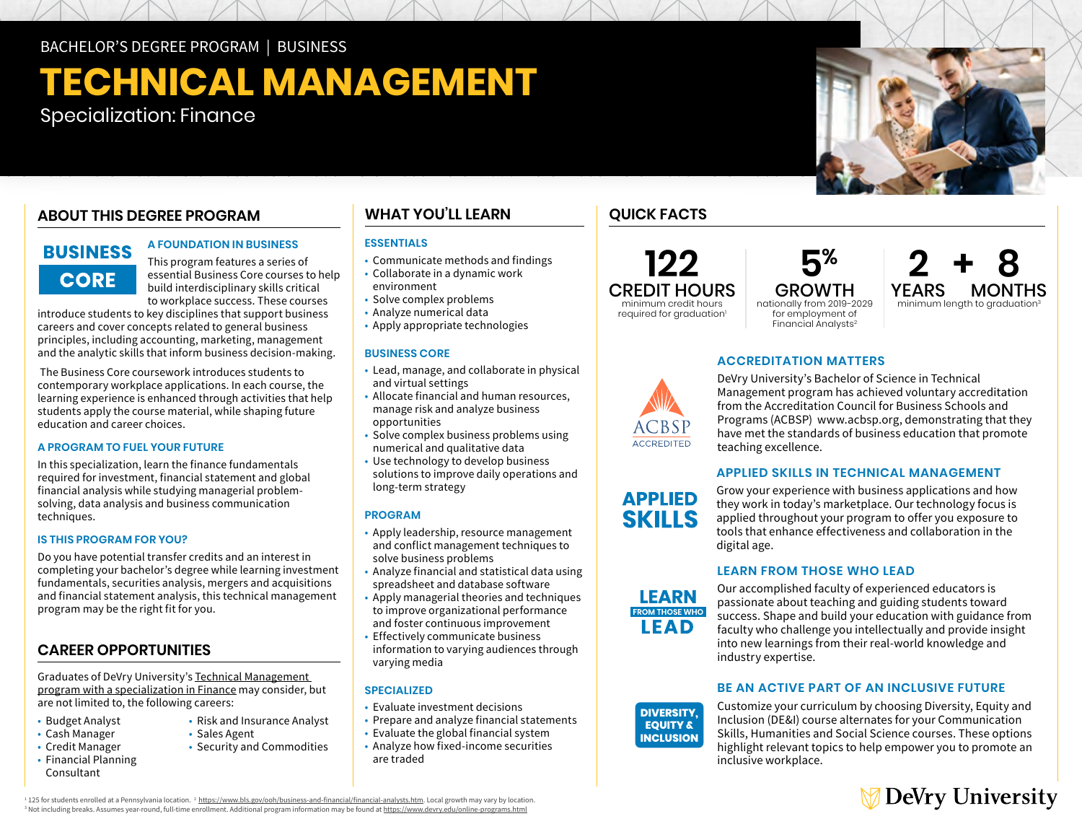BACHELOR'S DEGREE PROGRAM | BUSINESS

# **TECHNICAL MANAGEMENT**

Specialization: Finance

## **ABOUT THIS DEGREE PROGRAM**

# **BUSINESS CORE**

### **A FOUNDATION IN BUSINESS**

This program features a series of essential Business Core courses to help build interdisciplinary skills critical to workplace success. These courses

introduce students to key disciplines that support business careers and cover concepts related to general business principles, including accounting, marketing, management and the analytic skills that inform business decision-making.

 The Business Core coursework introduces students to contemporary workplace applications. In each course, the learning experience is enhanced through activities that help students apply the course material, while shaping future education and career choices.

### **A PROGRAM TO FUEL YOUR FUTURE**

In this specialization, learn the finance fundamentals required for investment, financial statement and global financial analysis while studying managerial problemsolving, data analysis and business communication techniques.

### **IS THIS PROGRAM FOR YOU?**

Do you have potential transfer credits and an interest in completing your bachelor's degree while learning investment fundamentals, securities analysis, mergers and acquisitions and financial statement analysis, this technical management program may be the right fit for you.

## **CAREER OPPORTUNITIES**

Graduates of DeVry University's [Technical Management](https://www.devry.edu/online-programs/bachelors-degrees/business/finance-specialization.html)  [program with a specialization in Finance](https://www.devry.edu/online-programs/bachelors-degrees/business/finance-specialization.html) may consider, but are not limited to, the following careers:

- Budget Analyst
- Cash Manager
- Credit Manager
- Financial Planning Consultant

# **WHAT YOU'LL LEARN**

## **ESSENTIALS**

- Communicate methods and findings
- Collaborate in a dynamic work environment
- Solve complex problems
- Analyze numerical data
- Apply appropriate technologies

### **BUSINESS CORE**

- Lead, manage, and collaborate in physical and virtual settings
- Allocate financial and human resources, manage risk and analyze business opportunities
- Solve complex business problems using numerical and qualitative data
- Use technology to develop business solutions to improve daily operations and long-term strategy

### **PROGRAM**

- Apply leadership, resource management and conflict management techniques to solve business problems
- Analyze financial and statistical data using spreadsheet and database software
- Apply managerial theories and techniques to improve organizational performance and foster continuous improvement
- Effectively communicate business information to varying audiences through varying media

### **SPECIALIZED**

- Evaluate investment decisions
- Prepare and analyze financial statements
- Evaluate the global financial system
- Analyze how fixed-income securities are traded

## **QUICK FACTS**

**122** CREDIT HOURS minimum credit hours

GROWTH nationally from 2019-2029 for employment of Financial Analysts2

 **5%**



**SKILLS** 

DeVry University's Bachelor of Science in Technical Management program has achieved voluntary accreditation from the Accreditation Council for Business Schools and Programs (ACBSP) [www.acbsp.org,](http://www.acbsp.org) demonstrating that they have met the standards of business education that promote teaching excellence.

### **APPLIED SKILLS IN TECHNICAL MANAGEMENT**

Grow your experience with business applications and how they work in today's marketplace. Our technology focus is applied throughout your program to offer you exposure to tools that enhance effectiveness and collaboration in the digital age.

### **LEARN FROM THOSE WHO LEAD**



**DIVERSITY. EQUITY & INCLUSION** 

Our accomplished faculty of experienced educators is passionate about teaching and guiding students toward success. Shape and build your education with guidance from faculty who challenge you intellectually and provide insight into new learnings from their real-world knowledge and industry expertise.

## **BE AN ACTIVE PART OF AN INCLUSIVE FUTURE**

Customize your curriculum by choosing Diversity, Equity and Inclusion (DE&I) course alternates for your Communication Skills, Humanities and Social Science courses. These options highlight relevant topics to help empower you to promote an inclusive workplace.



<sup>1</sup>125 for students enrolled at a Pennsylvania location.<sup>2</sup> https://www.bls.gov/ooh/business-and-financial/financial-analysts.htm. Local growth may vary by location <sup>1</sup> 125 for students enrolled at a Pennsylvania location[.](https://www.bls.gov/ooh/business-and-financial/financial-analysts.htm) <sup>2</sup> <u>https://www.bls.gov/ooh/business-and-financial/financial-analysts.htm</u>. Local growth may vary by location.<br><sup>3</sup> Not including breaks. Assumes year-round, full-t

• Risk and Insurance Analyst

• Security and Commodities

• Sales Agent

**APPLIED** 

**ACCREDITATION MATTERS**



**2 + 8** YEARS MONTHS minimum length to graduation<sup>3</sup>